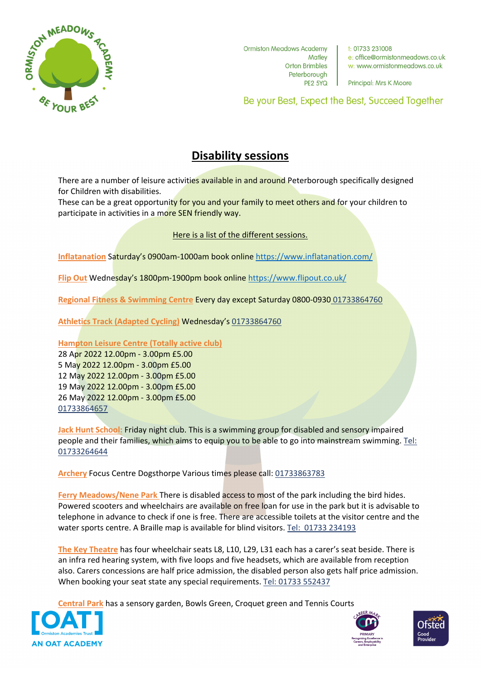

**Ormiston Meadows Academy Matley Orton Brimbles** Peterborough **PE2 5YQ** 

 $+$  01733 231008 e: office@ormistonmeadows.co.uk w: www.ormistonmeadows.co.uk

Principal: Mrs K Moore

Be your Best, Expect the Best, Succeed Together

## **Disability sessions**

There are a number of leisure activities available in and around Peterborough specifically designed for Children with disabilities.

These can be a great opportunity for you and your family to meet others and for your children to participate in activities in a more SEN friendly way.

## Here is a list of the different sessions.

**Inflatanation** Saturday's 0900am-1000am book online<https://www.inflatanation.com/>

**Flip Out** Wednesday's 1800pm-1900pm book online<https://www.flipout.co.uk/>

**Regional Fitness & Swimming Centre** Every day except Saturday 0800-0930 01733864760

**Athletics Track (Adapted Cycling)** Wednesday's 01733864760

## **Hampton Leisure Centre (Totally active club)**

28 Apr 2022 12.00pm - 3.00pm £5.00 5 May 2022 12.00pm - 3.00pm £5.00 12 May 2022 12.00pm - 3.00pm £5.00 19 May 2022 12.00pm - 3.00pm £5.00 26 May 2022 12.00pm - 3.00pm £5.00 01733864657

**Jack Hunt School:** Friday night club. This is a swimming group for disabled and sensory impaired people and their families, which aims to equip you to be able to go into mainstream swimming. Tel: 01733264644

**Archery** Focus Centre Dogsthorpe Various times please call: 01733863783

**Ferry Meadows/Nene Park** There is disabled access to most of the park including the bird hides. Powered scooters and wheelchairs are available on free loan for use in the park but it is advisable to telephone in advance to check if one is free. There are accessible toilets at the visitor centre and the water sports centre. A Braille map is available for blind visitors. Tel: [01733 234193](https://www.google.com/search?q=ferry+meadows&rlz=1C1GCEV_enGB987GB987&oq=ferry+meadows&aqs=chrome..69i57j0i131i433i512j46i199i291i433i512j0i512j46i199i433i465i512j46i433i512j0i433i512j46i131i433i512l2j46i433i512.1815j0j7&sourceid=chrome&ie=UTF-8&surl=1&safe=active&ssui=on)

**The Key Theatre** has four wheelchair seats L8, L10, L29, L31 each has a carer's seat beside. There is an infra red hearing system, with five loops and five headsets, which are available from reception also. Carers concessions are half price admission, the disabled person also gets half price admission. When booking your seat state any special requirements. Tel: [01733 552437](tel:01733%20552437)

**Central Park** has a sensory garden, Bowls Green, Croquet green and Tennis Courts